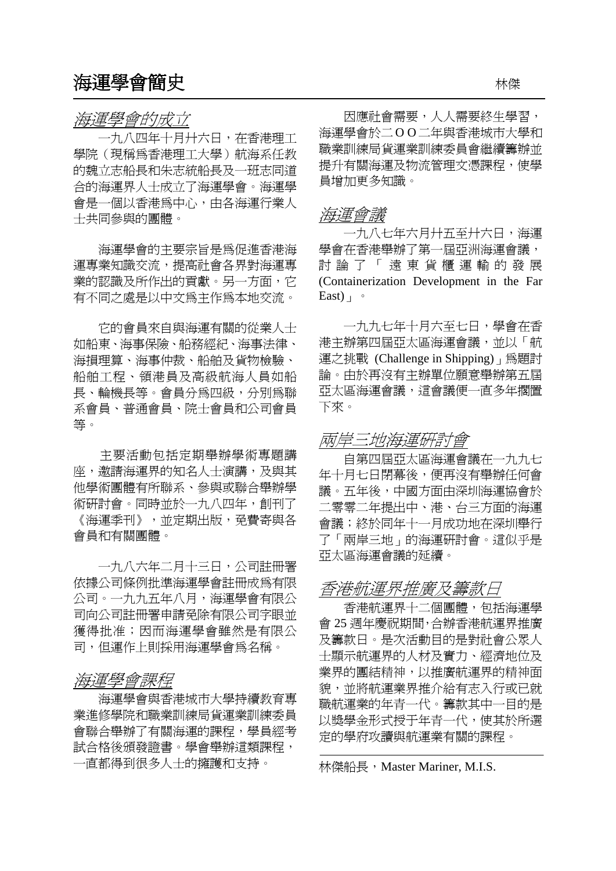一九八四年十月廾六日,在香港理工 學院(現稱為香港理工大學)航海系任教 的魏立志船長和朱志統船長及一班志同道 合的海運界人士成立了海運學會。海運學 會是一個以香港為中心,由各海運行業人 日に、間の日に続ける「HITEXTIVIVIVI」<br>十共同參與的團體。

海運學會的主要宗旨是為促進香港海 運專業知識交流,提高社會各界對海運專 業的認識及所作出的貢獻。另一方面,它 有不同之處是以中文為主作為本地交流。

 它的會員來自與海運有關的從業人士 如船東、海事保險、船務經紀、海事法律、 海損理算、海事仲裁、船舶及貨物檢驗、 船舶工程、領港員及高級航海人員如船 長、輪機長等。會員分為四級,分別為聯 系會員、普通會員、院士會員和公司會員 等。

 主要活動包括定期舉辦學術專題講 座,邀請海運界的知名人士演講,及與其 他學術團體有所聯系、參與或聯合舉辦學 術研討會。同時並於一九八四年,創刊了 《海運季刊》,並定期出版,免費寄與各 會員和有關團體。

一九八六年二月十三日,公司註冊署 亞太區海運會議的延續。 依據公司條例批準海運學會註冊成為有限 公司。一九九五年八月,海運學會有限公 司向公司註冊署申請免除有限公司字眼並 獲得批准;因而海運學會雖然是有限公 司,但運作上則採用海運學會為名稱。

# 海運學會課程

海運學會與香港城市大學持續教育專 業進修學院和職業訓練局貨運業訓練委員 會聯合舉辦了有關海運的課程,學員經考 試合格後頒發證書。學會舉辦這類課程, 一直都得到很多人士的擁護和支持。 林傑船長,Master Mariner, M.I.S.

海運學會的成立 因應社會需要,人人需要終生學習, 海運學會於二O O二年與香港城市大學和 職業訓練局貨運業訓練委員會繼續籌辦並 提升有關海運及物流管理文憑課程,使學 員增加更多知識。

 一九八七年六月廾五至廾六日,海運 學會在香港舉辦了第一屆亞洲海運會議, 討論了「遠東貨櫃運輸的發展 (Containerization Development in the Far East $)$ 

一九九七年十月六至七日,學會在香 港主辦第四屆亞太區海運會議,並以「航 運之挑戰 (Challenge in Shipping)」為題討 論。由於再沒有主辦單位願意舉辦第五屆 亞太區海運會議,這會議便一直多年擱置 下來。

## 兩岸三地海運研討會

自第四屆亞太區海運會議在一九九七 年十月七日閉幕後,便再沒有舉辦任何會 議。五年後,中國方面由深圳海運協會於 二零零二年提出中、港、台三方面的海運 會議;終於同年十一月成功地在深圳舉行 了「兩岸三地」的海運研討會。這似乎是

## 香港航運界推廣及籌款日

香港航運界十二個團體,包括海運學 會 25 週年慶祝期間,合辦香港航運界推廣 及籌款日。是次活動目的是對社會公眾人 士顯示航運界的人材及實力、經濟地位及 業界的團結精神,以推廣航運界的精神面 貌,並將航運業界推介給有志入行或已就 職航運業的年青一代。籌款其中一目的是 以獎學金形式授于年青一代,使其於所選 定的學府攻讀與航運業有關的課程。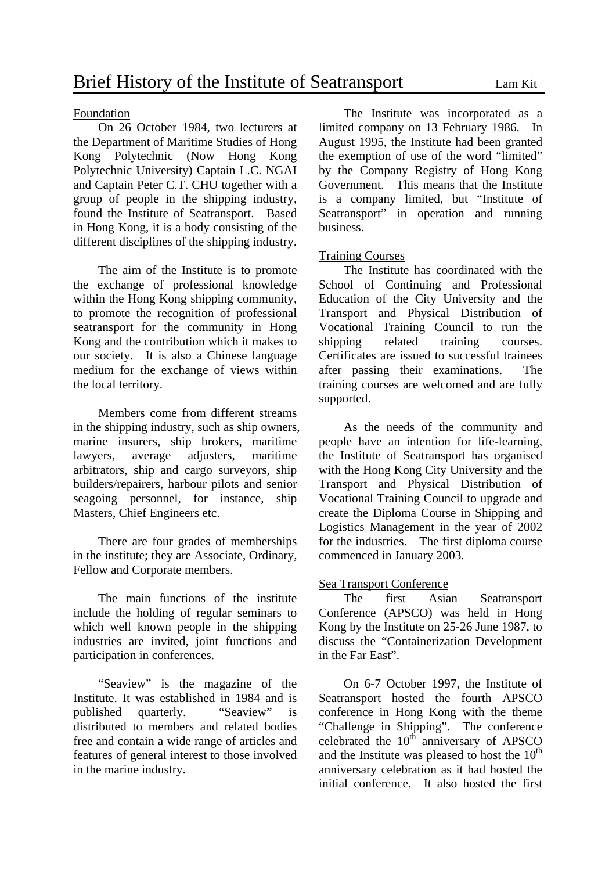On 26 October 1984, two lecturers at the Department of Maritime Studies of Hong Kong Polytechnic (Now Hong Kong Polytechnic University) Captain L.C. NGAI and Captain Peter C.T. CHU together with a group of people in the shipping industry, found the Institute of Seatransport. Based in Hong Kong, it is a body consisting of the different disciplines of the shipping industry.

 The aim of the Institute is to promote the exchange of professional knowledge within the Hong Kong shipping community, to promote the recognition of professional seatransport for the community in Hong Kong and the contribution which it makes to our society. It is also a Chinese language medium for the exchange of views within the local territory.

 Members come from different streams in the shipping industry, such as ship owners, marine insurers, ship brokers, maritime lawyers, average adjusters, maritime arbitrators, ship and cargo surveyors, ship builders/repairers, harbour pilots and senior seagoing personnel, for instance, ship Masters, Chief Engineers etc.

There are four grades of memberships in the institute; they are Associate, Ordinary, Fellow and Corporate members.

 The main functions of the institute include the holding of regular seminars to which well known people in the shipping industries are invited, joint functions and participation in conferences.

"Seaview" is the magazine of the Institute. It was established in 1984 and is published quarterly. "Seaview" is distributed to members and related bodies free and contain a wide range of articles and features of general interest to those involved in the marine industry.

Foundation The Institute was incorporated as a limited company on 13 February 1986. In August 1995, the Institute had been granted the exemption of use of the word "limited" by the Company Registry of Hong Kong Government. This means that the Institute is a company limited, but "Institute of Seatransport" in operation and running business.

### Training Courses

 The Institute has coordinated with the School of Continuing and Professional Education of the City University and the Transport and Physical Distribution of Vocational Training Council to run the shipping related training courses. Certificates are issued to successful trainees after passing their examinations. The training courses are welcomed and are fully supported.

 As the needs of the community and people have an intention for life-learning, the Institute of Seatransport has organised with the Hong Kong City University and the Transport and Physical Distribution of Vocational Training Council to upgrade and create the Diploma Course in Shipping and Logistics Management in the year of 2002 for the industries. The first diploma course commenced in January 2003.

### Sea Transport Conference

 The first Asian Seatransport Conference (APSCO) was held in Hong Kong by the Institute on 25-26 June 1987, to discuss the "Containerization Development in the Far East".

 On 6-7 October 1997, the Institute of Seatransport hosted the fourth APSCO conference in Hong Kong with the theme "Challenge in Shipping". The conference celebrated the  $10^{th}$  anniversary of APSCO and the Institute was pleased to host the  $10<sup>th</sup>$ anniversary celebration as it had hosted the initial conference. It also hosted the first